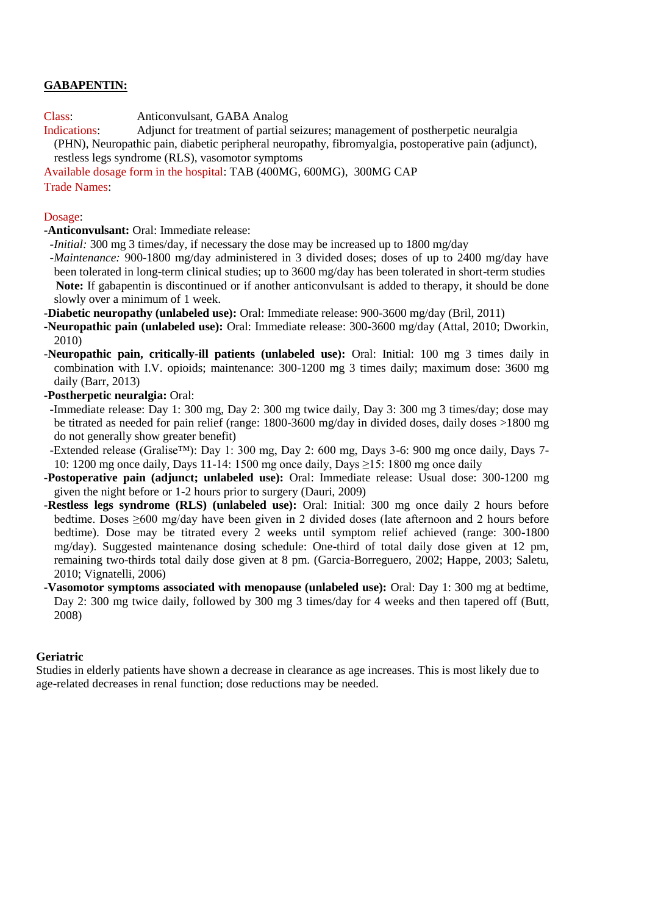# **GABAPENTIN:**

Class: Anticonvulsant, GABA Analog

Indications: Adjunct for treatment of partial seizures; management of postherpetic neuralgia (PHN), Neuropathic pain, diabetic peripheral neuropathy, fibromyalgia, postoperative pain (adjunct), restless legs syndrome (RLS), vasomotor symptoms

Available dosage form in the hospital: TAB (400MG, 600MG), 300MG CAP

Trade Names:

### Dosage:

**-Anticonvulsant:** Oral: Immediate release:

 *-Initial:* 300 mg 3 times/day, if necessary the dose may be increased up to 1800 mg/day

 *-Maintenance:* 900-1800 mg/day administered in 3 divided doses; doses of up to 2400 mg/day have been tolerated in long-term clinical studies; up to 3600 mg/day has been tolerated in short-term studies  **Note:** If gabapentin is discontinued or if another anticonvulsant is added to therapy, it should be done slowly over a minimum of 1 week.

**-Diabetic neuropathy (unlabeled use):** Oral: Immediate release: 900-3600 mg/day (Bril, 2011)

**-Neuropathic pain (unlabeled use):** Oral: Immediate release: 300-3600 mg/day (Attal, 2010; Dworkin, 2010)

**-Neuropathic pain, critically-ill patients (unlabeled use):** Oral: Initial: 100 mg 3 times daily in combination with I.V. opioids; maintenance: 300-1200 mg 3 times daily; maximum dose: 3600 mg daily (Barr, 2013)

**-Postherpetic neuralgia:** Oral:

 -Immediate release: Day 1: 300 mg, Day 2: 300 mg twice daily, Day 3: 300 mg 3 times/day; dose may be titrated as needed for pain relief (range: 1800-3600 mg/day in divided doses, daily doses >1800 mg do not generally show greater benefit)

 -Extended release (Gralise™): Day 1: 300 mg, Day 2: 600 mg, Days 3-6: 900 mg once daily, Days 7- 10: 1200 mg once daily, Days 11-14: 1500 mg once daily, Days ≥15: 1800 mg once daily

**-Postoperative pain (adjunct; unlabeled use):** Oral: Immediate release: Usual dose: 300-1200 mg given the night before or 1-2 hours prior to surgery (Dauri, 2009)

**-Restless legs syndrome (RLS) (unlabeled use):** Oral: Initial: 300 mg once daily 2 hours before bedtime. Doses ≥600 mg/day have been given in 2 divided doses (late afternoon and 2 hours before bedtime). Dose may be titrated every 2 weeks until symptom relief achieved (range: 300-1800 mg/day). Suggested maintenance dosing schedule: One-third of total daily dose given at 12 pm, remaining two-thirds total daily dose given at 8 pm. (Garcia-Borreguero, 2002; Happe, 2003; Saletu, 2010; Vignatelli, 2006)

**-Vasomotor symptoms associated with menopause (unlabeled use):** Oral: Day 1: 300 mg at bedtime, Day 2: 300 mg twice daily, followed by 300 mg 3 times/day for 4 weeks and then tapered off (Butt, 2008)

### **Geriatric**

Studies in elderly patients have shown a decrease in clearance as age increases. This is most likely due to age-related decreases in renal function; dose reductions may be needed.